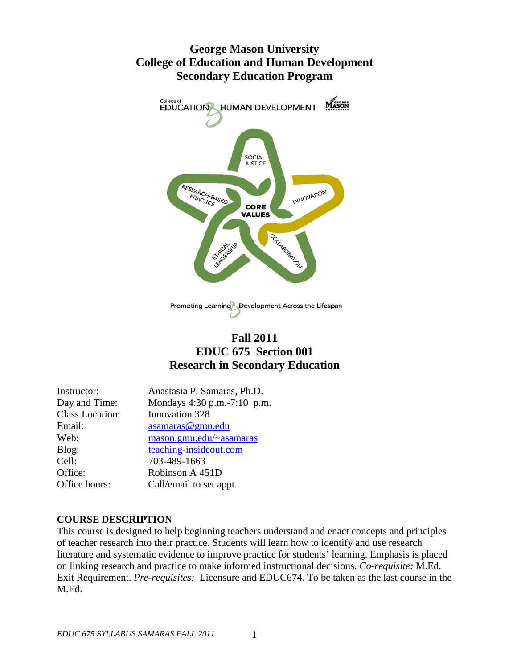# **George Mason University College of Education and Human Development Secondary Education Program**



# **Fall 2011 EDUC 675 Section 001 Research in Secondary Education**

| Anastasia P. Samaras, Ph.D.   |
|-------------------------------|
| Mondays 4:30 p.m. - 7:10 p.m. |
| Innovation 328                |
| asamaras@gmu.edu              |
| mason.gmu.edu/~asamaras       |
| teaching-insideout.com        |
| 703-489-1663                  |
| Robinson A 451D               |
| Call/email to set appt.       |
|                               |

## **COURSE DESCRIPTION**

This course is designed to help beginning teachers understand and enact concepts and principles of teacher research into their practice. Students will learn how to identify and use research literature and systematic evidence to improve practice for students' learning. Emphasis is placed on linking research and practice to make informed instructional decisions. *Co-requisite:* M.Ed. Exit Requirement. *Pre-requisites:* Licensure and EDUC674. To be taken as the last course in the M.Ed.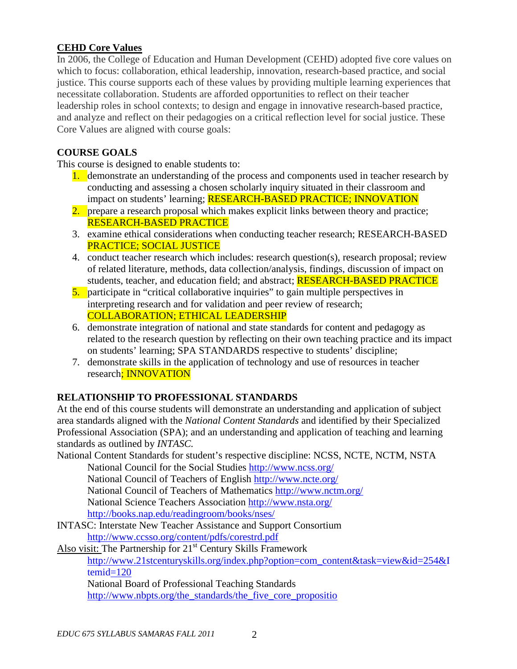## **CEHD Core Values**

In 2006, the College of Education and Human Development (CEHD) adopted five core values on which to focus: collaboration, ethical leadership, innovation, research-based practice, and social justice. This course supports each of these values by providing multiple learning experiences that necessitate collaboration. Students are afforded opportunities to reflect on their teacher leadership roles in school contexts; to design and engage in innovative research-based practice, and analyze and reflect on their pedagogies on a critical reflection level for social justice. These Core Values are aligned with course goals:

## **COURSE GOALS**

This course is designed to enable students to:

- 1. demonstrate an understanding of the process and components used in teacher research by conducting and assessing a chosen scholarly inquiry situated in their classroom and impact on students' learning; RESEARCH-BASED PRACTICE; INNOVATION
- 2. prepare a research proposal which makes explicit links between theory and practice; RESEARCH-BASED PRACTICE
- 3. examine ethical considerations when conducting teacher research; RESEARCH-BASED PRACTICE; SOCIAL JUSTICE
- 4. conduct teacher research which includes: research question(s), research proposal; review of related literature, methods, data collection/analysis, findings, discussion of impact on students, teacher, and education field; and abstract; **RESEARCH-BASED PRACTICE**
- 5. participate in "critical collaborative inquiries" to gain multiple perspectives in interpreting research and for validation and peer review of research; COLLABORATION; ETHICAL LEADERSHIP
- 6. demonstrate integration of national and state standards for content and pedagogy as related to the research question by reflecting on their own teaching practice and its impact on students' learning; SPA STANDARDS respective to students' discipline;
- 7. demonstrate skills in the application of technology and use of resources in teacher research; INNOVATION

## **RELATIONSHIP TO PROFESSIONAL STANDARDS**

At the end of this course students will demonstrate an understanding and application of subject area standards aligned with the *National Content Standards* and identified by their Specialized Professional Association (SPA); and an understanding and application of teaching and learning standards as outlined by *INTASC.*

National Content Standards for student's respective discipline: NCSS, NCTE, NCTM, NSTA National Council for the Social Studies<http://www.ncss.org/>

National Council of Teachers of English<http://www.ncte.org/> National Council of Teachers of Mathematics<http://www.nctm.org/> National Science Teachers Association<http://www.nsta.org/>

<http://books.nap.edu/readingroom/books/nses/>

[INTASC: Interstate New Teacher Assistance and Support Consortium](http://www.ccsso.org/content/pdfs/corestrd.pdf) <http://www.ccsso.org/content/pdfs/corestrd.pdf>

Also visit: The Partnership for 21<sup>st</sup> Century Skills Framework [http://www.21stcenturyskills.org/index.php?option=com\\_content&task=view&id=254&I](http://www.21stcenturyskills.org/index.php?option=com_content&task=view&id=254&Itemid=120) [temid=120](http://www.21stcenturyskills.org/index.php?option=com_content&task=view&id=254&Itemid=120) National Board of Professional Teaching Standards

[http://www.nbpts.org/the\\_standards/the\\_five\\_core\\_propositio](http://www.nbpts.org/the_standards/the_five_core_propositio)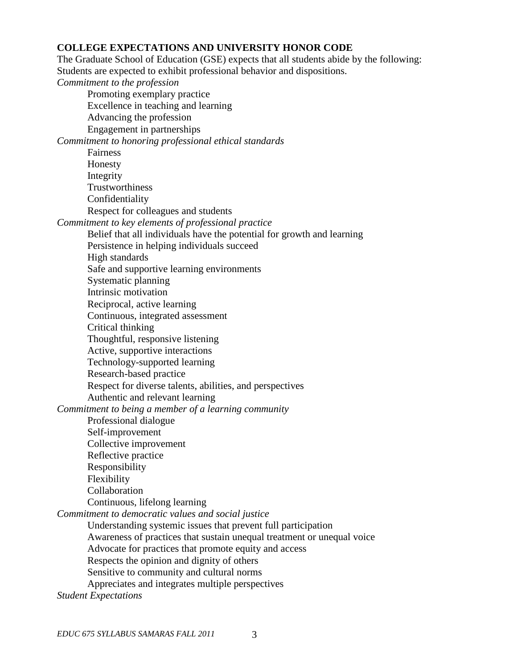#### **COLLEGE EXPECTATIONS AND UNIVERSITY HONOR CODE**

The Graduate School of Education (GSE) expects that all students abide by the following: Students are expected to exhibit professional behavior and dispositions.

*Commitment to the profession* Promoting exemplary practice Excellence in teaching and learning Advancing the profession Engagement in partnerships *Commitment to honoring professional ethical standards* Fairness Honesty Integrity **Trustworthiness** Confidentiality Respect for colleagues and students *Commitment to key elements of professional practice* Belief that all individuals have the potential for growth and learning Persistence in helping individuals succeed High standards Safe and supportive learning environments Systematic planning Intrinsic motivation Reciprocal, active learning Continuous, integrated assessment Critical thinking Thoughtful, responsive listening Active, supportive interactions Technology-supported learning Research-based practice Respect for diverse talents, abilities, and perspectives Authentic and relevant learning *Commitment to being a member of a learning community* Professional dialogue Self-improvement Collective improvement Reflective practice Responsibility Flexibility Collaboration Continuous, lifelong learning *Commitment to democratic values and social justice* Understanding systemic issues that prevent full participation Awareness of practices that sustain unequal treatment or unequal voice Advocate for practices that promote equity and access Respects the opinion and dignity of others Sensitive to community and cultural norms Appreciates and integrates multiple perspectives *Student Expectations*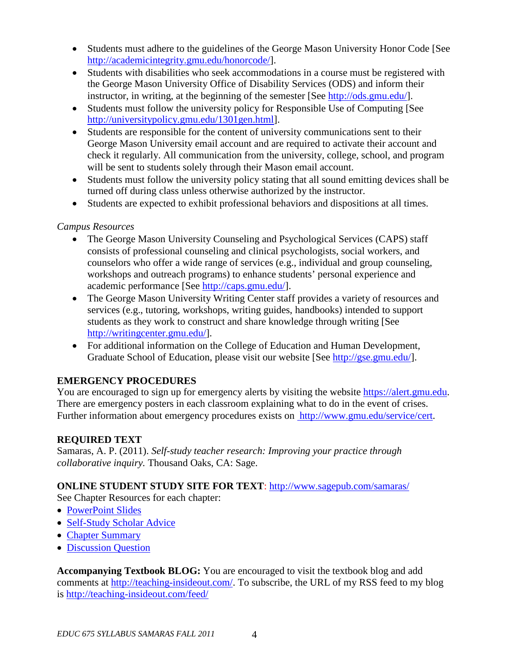- Students must adhere to the guidelines of the George Mason University Honor Code [See [http://academicintegrity.gmu.edu/honorcode/\]](http://academicintegrity.gmu.edu/honorcode/).
- Students with disabilities who seek accommodations in a course must be registered with the George Mason University Office of Disability Services (ODS) and inform their instructor, in writing, at the beginning of the semester [See [http://ods.gmu.edu/\]](http://ods.gmu.edu/).
- Students must follow the university policy for Responsible Use of Computing [See [http://universitypolicy.gmu.edu/1301gen.html\]](http://universitypolicy.gmu.edu/1301gen.html).
- Students are responsible for the content of university communications sent to their George Mason University email account and are required to activate their account and check it regularly. All communication from the university, college, school, and program will be sent to students solely through their Mason email account.
- Students must follow the university policy stating that all sound emitting devices shall be turned off during class unless otherwise authorized by the instructor.
- Students are expected to exhibit professional behaviors and dispositions at all times.

## *Campus Resources*

- The George Mason University Counseling and Psychological Services (CAPS) staff consists of professional counseling and clinical psychologists, social workers, and counselors who offer a wide range of services (e.g., individual and group counseling, workshops and outreach programs) to enhance students' personal experience and academic performance [See [http://caps.gmu.edu/\]](http://caps.gmu.edu/).
- The George Mason University Writing Center staff provides a variety of resources and services (e.g., tutoring, workshops, writing guides, handbooks) intended to support students as they work to construct and share knowledge through writing [See [http://writingcenter.gmu.edu/\]](http://writingcenter.gmu.edu/).
- For additional information on the College of Education and Human Development, Graduate School of Education, please visit our website [See [http://gse.gmu.edu/\]](http://gse.gmu.edu/).

## **EMERGENCY PROCEDURES**

You are encouraged to sign up for emergency alerts by visiting the website [https://alert.gmu.edu.](https://alert.gmu.edu/) There are emergency posters in each classroom explaining what to do in the event of crises. Further information about emergency procedures exists on [http://www.gmu.edu/service/cert.](http://www.gmu.edu/service/cert)

## **REQUIRED TEXT**

Samaras, A. P. (2011). *Self-study teacher research: Improving your practice through collaborative inquiry.* Thousand Oaks, CA: Sage.

## **ONLINE STUDENT STUDY SITE FOR TEXT**:<http://www.sagepub.com/samaras/>

See Chapter Resources for each chapter:

- [PowerPoint Slides](http://www.sagepub.com/samaras/chapters/PPTs/Ch01PPT.ppt)
- [Self-Study Scholar Advice](http://www.sagepub.com/samaras/chapters/Scholar%20Advice/Ch01ScholarAdvice.pdf)
- [Chapter Summary](http://www.sagepub.com/samaras/chapters/Chapter%20Summaries/Ch01Description.pdf)
- [Discussion Question](http://www.sagepub.com/samaras/chapters/Discussion%20Questions%20and%20Classroom%20Activities/Ch01Discussion.doc)

**Accompanying Textbook BLOG:** You are encouraged to visit the textbook blog and add comments at [http://teaching-insideout.com/.](http://teaching-insideout.com/) To subscribe, the URL of my RSS feed to my blog is<http://teaching-insideout.com/feed/>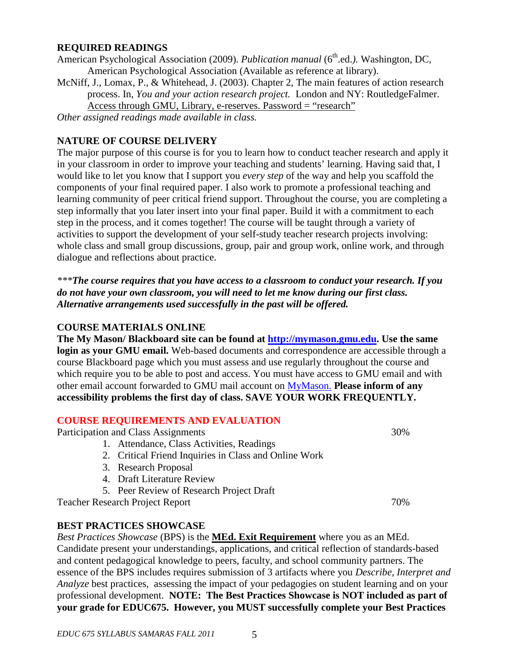#### **REQUIRED READINGS**

American Psychological Association (2009). *Publication manual* (6<sup>th</sup>.ed.). Washington, DC, American Psychological Association (Available as reference at library).

McNiff, J., Lomax, P., & Whitehead, J. (2003). Chapter 2, The main features of action research process. In, *You and your action research project.* London and NY: RoutledgeFalmer. Access through GMU, Library, e-reserves. Password = "research"

*Other assigned readings made available in class.*

## **NATURE OF COURSE DELIVERY**

The major purpose of this course is for you to learn how to conduct teacher research and apply it in your classroom in order to improve your teaching and students' learning. Having said that, I would like to let you know that I support you *every step* of the way and help you scaffold the components of your final required paper. I also work to promote a professional teaching and learning community of peer critical friend support. Throughout the course, you are completing a step informally that you later insert into your final paper. Build it with a commitment to each step in the process, and it comes together! The course will be taught through a variety of activities to support the development of your self-study teacher research projects involving: whole class and small group discussions, group, pair and group work, online work, and through dialogue and reflections about practice.

*\*\*\*The course requires that you have access to a classroom to conduct your research. If you do not have your own classroom, you will need to let me know during our first class. Alternative arrangements used successfully in the past will be offered.*

## **COURSE MATERIALS ONLINE**

**The My Mason/ Blackboard site can be found at [http://mymason.gmu.edu.](http://mymason.gmu.edu/) Use the same login as your GMU email.** Web-based documents and correspondence are accessible through a course Blackboard page which you must assess and use regularly throughout the course and which require you to be able to post and access. You must have access to GMU email and with other email account forwarded to GMU mail account on [MyMason.](https://mymasonportal.gmu.edu/webapps/portal/frameset.jsp) **Please inform of any accessibility problems the first day of class. SAVE YOUR WORK FREQUENTLY.**

## **COURSE REQUIREMENTS AND EVALUATION**

Participation and Class Assignments 30%

- 1. Attendance, Class Activities, Readings
- 2. Critical Friend Inquiries in Class and Online Work
- 3. Research Proposal
- 4. Draft Literature Review
- 5. Peer Review of Research Project Draft

Teacher Research Project Report 70%

### **BEST PRACTICES SHOWCASE**

*Best Practices Showcase* (BPS) is the **MEd. Exit Requirement** where you as an MEd. Candidate present your understandings, applications, and critical reflection of standards-based and content pedagogical knowledge to peers, faculty, and school community partners. The essence of the BPS includes requires submission of 3 artifacts where you *Describe, Interpret and Analyze* best practices, assessing the impact of your pedagogies on student learning and on your professional development. **NOTE: The Best Practices Showcase is NOT included as part of your grade for EDUC675. However, you MUST successfully complete your Best Practices**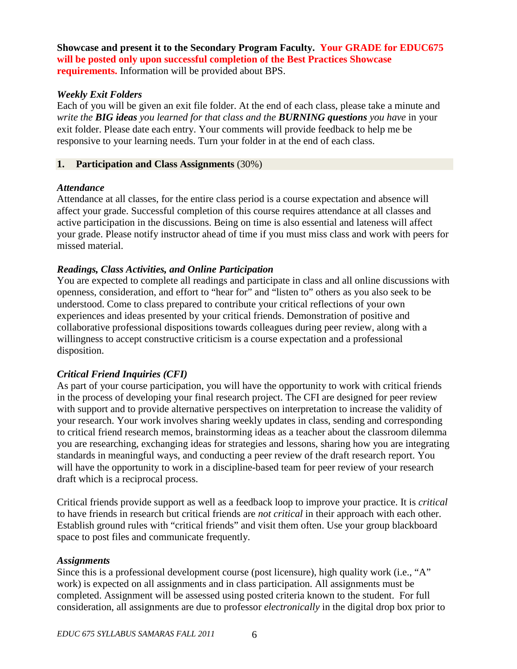**Showcase and present it to the Secondary Program Faculty. Your GRADE for EDUC675 will be posted only upon successful completion of the Best Practices Showcase requirements.** Information will be provided about BPS.

### *Weekly Exit Folders*

Each of you will be given an exit file folder. At the end of each class, please take a minute and *write the BIG ideas you learned for that class and the BURNING questions you have* in your exit folder. Please date each entry. Your comments will provide feedback to help me be responsive to your learning needs. Turn your folder in at the end of each class.

### **1. Participation and Class Assignments** (30%)

### *Attendance*

Attendance at all classes, for the entire class period is a course expectation and absence will affect your grade. Successful completion of this course requires attendance at all classes and active participation in the discussions. Being on time is also essential and lateness will affect your grade. Please notify instructor ahead of time if you must miss class and work with peers for missed material.

## *Readings, Class Activities, and Online Participation*

You are expected to complete all readings and participate in class and all online discussions with openness, consideration, and effort to "hear for" and "listen to" others as you also seek to be understood. Come to class prepared to contribute your critical reflections of your own experiences and ideas presented by your critical friends. Demonstration of positive and collaborative professional dispositions towards colleagues during peer review, along with a willingness to accept constructive criticism is a course expectation and a professional disposition.

## *Critical Friend Inquiries (CFI)*

As part of your course participation, you will have the opportunity to work with critical friends in the process of developing your final research project. The CFI are designed for peer review with support and to provide alternative perspectives on interpretation to increase the validity of your research. Your work involves sharing weekly updates in class, sending and corresponding to critical friend research memos, brainstorming ideas as a teacher about the classroom dilemma you are researching, exchanging ideas for strategies and lessons, sharing how you are integrating standards in meaningful ways, and conducting a peer review of the draft research report. You will have the opportunity to work in a discipline-based team for peer review of your research draft which is a reciprocal process.

Critical friends provide support as well as a feedback loop to improve your practice. It is *critical* to have friends in research but critical friends are *not critical* in their approach with each other. Establish ground rules with "critical friends" and visit them often. Use your group blackboard space to post files and communicate frequently.

## *Assignments*

Since this is a professional development course (post licensure), high quality work (i.e., "A" work) is expected on all assignments and in class participation. All assignments must be completed. Assignment will be assessed using posted criteria known to the student. For full consideration, all assignments are due to professor *electronically* in the digital drop box prior to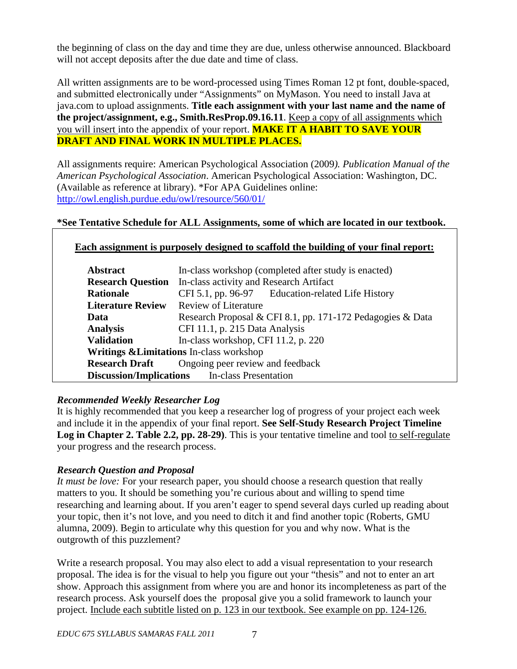the beginning of class on the day and time they are due, unless otherwise announced. Blackboard will not accept deposits after the due date and time of class.

All written assignments are to be word-processed using Times Roman 12 pt font, double-spaced, and submitted electronically under "Assignments" on MyMason. You need to install Java at java.com to upload assignments. **Title each assignment with your last name and the name of the project/assignment, e.g., Smith.ResProp.09.16.11**. Keep a copy of all assignments which you will insert into the appendix of your report. **MAKE IT A HABIT TO SAVE YOUR DRAFT AND FINAL WORK IN MULTIPLE PLACES.**

All assignments require: American Psychological Association (2009*). Publication Manual of the American Psychological Association*. American Psychological Association: Washington, DC. (Available as reference at library). \*For APA Guidelines online: <http://owl.english.purdue.edu/owl/resource/560/01/>

## **\*See Tentative Schedule for ALL Assignments, some of which are located in our textbook.**

## **Each assignment is purposely designed to scaffold the building of your final report:**

| <b>Abstract</b>                                        | In-class workshop (completed after study is enacted)       |  |  |
|--------------------------------------------------------|------------------------------------------------------------|--|--|
| <b>Research Question</b>                               | In-class activity and Research Artifact                    |  |  |
| <b>Rationale</b>                                       | CFI 5.1, pp. 96-97 Education-related Life History          |  |  |
| <b>Literature Review</b>                               | <b>Review of Literature</b>                                |  |  |
| Data                                                   | Research Proposal & CFI 8.1, pp. 171-172 Pedagogies & Data |  |  |
| <b>Analysis</b>                                        | CFI 11.1, p. 215 Data Analysis                             |  |  |
| <b>Validation</b>                                      | In-class workshop, CFI 11.2, p. $220$                      |  |  |
| <b>Writings &amp; Limitations</b> In-class workshop    |                                                            |  |  |
| <b>Research Draft</b> Ongoing peer review and feedback |                                                            |  |  |
| <b>Discussion/Implications</b> In-class Presentation   |                                                            |  |  |

## *Recommended Weekly Researcher Log*

It is highly recommended that you keep a researcher log of progress of your project each week and include it in the appendix of your final report. **See Self-Study Research Project Timeline Log in Chapter 2. Table 2.2, pp. 28-29)**. This is your tentative timeline and tool to self-regulate your progress and the research process.

## *Research Question and Proposal*

*It must be love:* For your research paper, you should choose a research question that really matters to you. It should be something you're curious about and willing to spend time researching and learning about. If you aren't eager to spend several days curled up reading about your topic, then it's not love, and you need to ditch it and find another topic (Roberts, GMU alumna, 2009). Begin to articulate why this question for you and why now. What is the outgrowth of this puzzlement?

Write a research proposal. You may also elect to add a visual representation to your research proposal. The idea is for the visual to help you figure out your "thesis" and not to enter an art show. Approach this assignment from where you are and honor its incompleteness as part of the research process. Ask yourself does the proposal give you a solid framework to launch your project. Include each subtitle listed on p. 123 in our textbook. See example on pp. 124-126.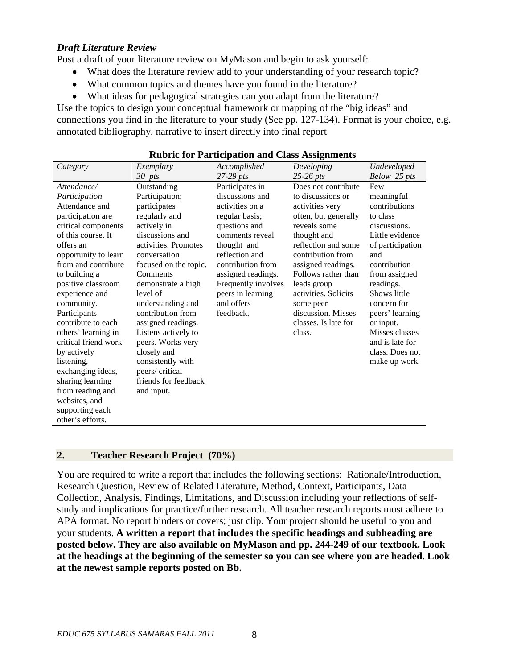#### *Draft Literature Review*

Post a draft of your literature review on MyMason and begin to ask yourself:

- What does the literature review add to your understanding of your research topic?
- What common topics and themes have you found in the literature?
- What ideas for pedagogical strategies can you adapt from the literature?

Use the topics to design your conceptual framework or mapping of the "big ideas" and connections you find in the literature to your study (See pp. 127-134). Format is your choice, e.g. annotated bibliography, narrative to insert directly into final report

| Category             | Exemplary             | Accomplished        | Developing           | Undeveloped      |
|----------------------|-----------------------|---------------------|----------------------|------------------|
|                      | 30 pts.               | $27-29$ pts         | $25-26$ pts          | Below 25 pts     |
| Attendance/          | Outstanding           | Participates in     | Does not contribute  | Few              |
| Participation        | Participation;        | discussions and     | to discussions or    | meaningful       |
| Attendance and       | participates          | activities on a     | activities very      | contributions    |
| participation are    | regularly and         | regular basis;      | often, but generally | to class         |
| critical components  | actively in           | questions and       | reveals some         | discussions.     |
| of this course. It   | discussions and       | comments reveal     | thought and          | Little evidence  |
| offers an            | activities. Promotes  | thought and         | reflection and some  | of participation |
| opportunity to learn | conversation          | reflection and      | contribution from    | and              |
| from and contribute  | focused on the topic. | contribution from   | assigned readings.   | contribution     |
| to building a        | Comments              | assigned readings.  | Follows rather than  | from assigned    |
| positive classroom   | demonstrate a high    | Frequently involves | leads group          | readings.        |
| experience and       | level of              | peers in learning   | activities. Solicits | Shows little     |
| community.           | understanding and     | and offers          | some peer            | concern for      |
| Participants         | contribution from     | feedback.           | discussion. Misses   | peers' learning  |
| contribute to each   | assigned readings.    |                     | classes. Is late for | or input.        |
| others' learning in  | Listens actively to   |                     | class.               | Misses classes   |
| critical friend work | peers. Works very     |                     |                      | and is late for  |
| by actively          | closely and           |                     |                      | class. Does not  |
| listening,           | consistently with     |                     |                      | make up work.    |
| exchanging ideas,    | peers/critical        |                     |                      |                  |
| sharing learning     | friends for feedback  |                     |                      |                  |
| from reading and     | and input.            |                     |                      |                  |
| websites, and        |                       |                     |                      |                  |
| supporting each      |                       |                     |                      |                  |
| other's efforts.     |                       |                     |                      |                  |

|  |  | <b>Rubric for Participation and Class Assignments</b> |
|--|--|-------------------------------------------------------|
|--|--|-------------------------------------------------------|

#### **2. Teacher Research Project (70%)**

You are required to write a report that includes the following sections: Rationale/Introduction, Research Question, Review of Related Literature, Method, Context, Participants, Data Collection, Analysis, Findings, Limitations, and Discussion including your reflections of selfstudy and implications for practice/further research. All teacher research reports must adhere to APA format. No report binders or covers; just clip. Your project should be useful to you and your students. **A written a report that includes the specific headings and subheading are posted below. They are also available on MyMason and pp. 244-249 of our textbook. Look at the headings at the beginning of the semester so you can see where you are headed. Look at the newest sample reports posted on Bb.**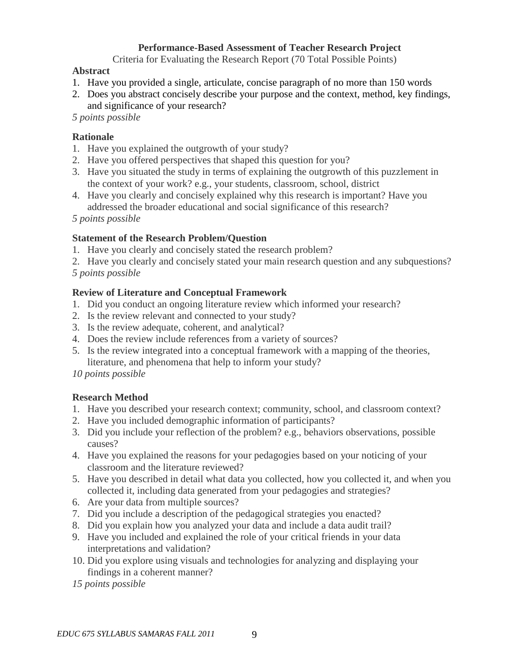### **Performance-Based Assessment of Teacher Research Project**

Criteria for Evaluating the Research Report (70 Total Possible Points)

#### **Abstract**

- 1. Have you provided a single, articulate, concise paragraph of no more than 150 words
- 2. Does you abstract concisely describe your purpose and the context, method, key findings, and significance of your research?

 *5 points possible*

## **Rationale**

- 1. Have you explained the outgrowth of your study?
- 2. Have you offered perspectives that shaped this question for you?
- 3. Have you situated the study in terms of explaining the outgrowth of this puzzlement in the context of your work? e.g., your students, classroom, school, district
- 4. Have you clearly and concisely explained why this research is important? Have you addressed the broader educational and social significance of this research?

 *5 points possible*

## **Statement of the Research Problem/Question**

1. Have you clearly and concisely stated the research problem?

2. Have you clearly and concisely stated your main research question and any subquestions? *5 points possible*

## **Review of Literature and Conceptual Framework**

- 1. Did you conduct an ongoing literature review which informed your research?
- 2. Is the review relevant and connected to your study?
- 3. Is the review adequate, coherent, and analytical?
- 4. Does the review include references from a variety of sources?
- 5. Is the review integrated into a conceptual framework with a mapping of the theories, literature, and phenomena that help to inform your study?

*10 points possible*

## **Research Method**

- 1. Have you described your research context; community, school, and classroom context?
- 2. Have you included demographic information of participants?
- 3. Did you include your reflection of the problem? e.g., behaviors observations, possible causes?
- 4. Have you explained the reasons for your pedagogies based on your noticing of your classroom and the literature reviewed?
- 5. Have you described in detail what data you collected, how you collected it, and when you collected it, including data generated from your pedagogies and strategies?
- 6. Are your data from multiple sources?
- 7. Did you include a description of the pedagogical strategies you enacted?
- 8. Did you explain how you analyzed your data and include a data audit trail?
- 9. Have you included and explained the role of your critical friends in your data interpretations and validation?
- 10. Did you explore using visuals and technologies for analyzing and displaying your findings in a coherent manner?
- *15 points possible*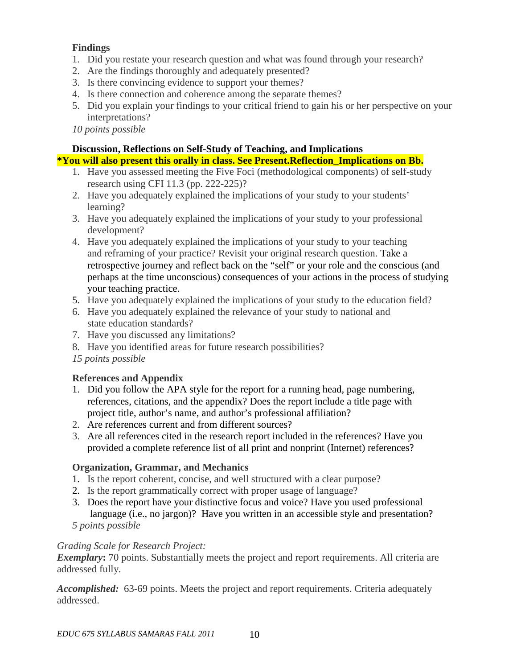## **Findings**

- 1. Did you restate your research question and what was found through your research?
- 2. Are the findings thoroughly and adequately presented?
- 3. Is there convincing evidence to support your themes?
- 4. Is there connection and coherence among the separate themes?
- 5. Did you explain your findings to your critical friend to gain his or her perspective on your interpretations?

*10 points possible*

## **Discussion, Reflections on Self-Study of Teaching, and Implications**

### **\*You will also present this orally in class. See Present.Reflection\_Implications on Bb.**

- 1. Have you assessed meeting the Five Foci (methodological components) of self-study research using CFI 11.3 (pp. 222-225)?
- 2. Have you adequately explained the implications of your study to your students' learning?
- 3. Have you adequately explained the implications of your study to your professional development?
- 4. Have you adequately explained the implications of your study to your teaching and reframing of your practice? Revisit your original research question. Take a retrospective journey and reflect back on the "self" or your role and the conscious (and perhaps at the time unconscious) consequences of your actions in the process of studying your teaching practice.
- 5. Have you adequately explained the implications of your study to the education field?
- 6. Have you adequately explained the relevance of your study to national and state education standards?
- 7. Have you discussed any limitations?
- 8. Have you identified areas for future research possibilities?
- *15 points possible*

## **References and Appendix**

- 1. Did you follow the APA style for the report for a running head, page numbering, references, citations, and the appendix? Does the report include a title page with project title, author's name, and author's professional affiliation?
- 2. Are references current and from different sources?
- 3. Are all references cited in the research report included in the references? Have you provided a complete reference list of all print and nonprint (Internet) references?

## **Organization, Grammar, and Mechanics**

- 1. Is the report coherent, concise, and well structured with a clear purpose?
- 2. Is the report grammatically correct with proper usage of language?
- 3. Does the report have your distinctive focus and voice? Have you used professional language (i.e., no jargon)? Have you written in an accessible style and presentation?
- *5 points possible*

## *Grading Scale for Research Project:*

**Exemplary:** 70 points. Substantially meets the project and report requirements. All criteria are addressed fully.

*Accomplished:* 63-69 points. Meets the project and report requirements. Criteria adequately addressed.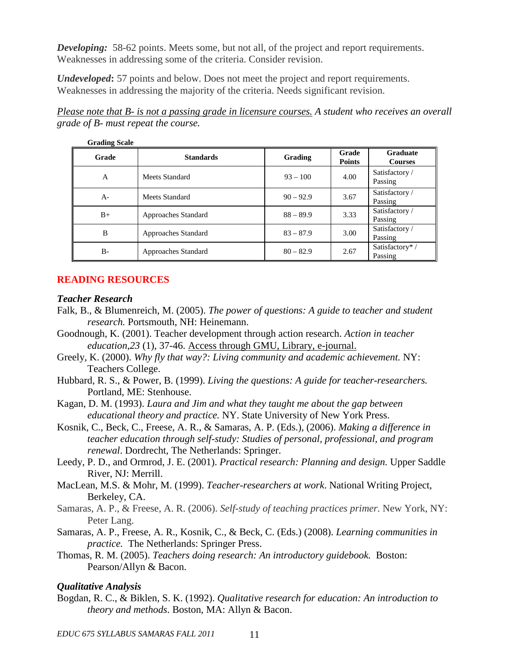**Developing:** 58-62 points. Meets some, but not all, of the project and report requirements. Weaknesses in addressing some of the criteria. Consider revision.

*Undeveloped***:** 57 points and below. Does not meet the project and report requirements. Weaknesses in addressing the majority of the criteria. Needs significant revision.

*Please note that B- is not a passing grade in licensure courses. A student who receives an overall grade of B- must repeat the course.* 

| <b>Grading Scale</b> |                     |             |                        |                                   |
|----------------------|---------------------|-------------|------------------------|-----------------------------------|
| Grade                | <b>Standards</b>    | Grading     | Grade<br><b>Points</b> | <b>Graduate</b><br><b>Courses</b> |
| A                    | Meets Standard      | $93 - 100$  | 4.00                   | Satisfactory /<br>Passing         |
| $A-$                 | Meets Standard      | $90 - 92.9$ | 3.67                   | Satisfactory /<br>Passing         |
| $B+$                 | Approaches Standard | $88 - 89.9$ | 3.33                   | Satisfactory /<br>Passing         |
| B                    | Approaches Standard | $83 - 87.9$ | 3.00                   | Satisfactory /<br>Passing         |
| B-                   | Approaches Standard | $80 - 82.9$ | 2.67                   | Satisfactory*/<br>Passing         |

#### **READING RESOURCES**

#### *Teacher Research*

- Falk, B., & Blumenreich, M. (2005). *The power of questions: A guide to teacher and student research.* Portsmouth, NH: Heinemann.
- Goodnough, K. (2001). Teacher development through action research. *Action in teacher education,23* (1), 37-46. Access through GMU, Library, e-journal.
- Greely, K. (2000). *Why fly that way?: Living community and academic achievement.* NY: Teachers College.
- Hubbard, R. S., & Power, B. (1999). *Living the questions: A guide for teacher-researchers.*  Portland, ME: Stenhouse.
- Kagan, D. M. (1993). *Laura and Jim and what they taught me about the gap between educational theory and practice.* NY. State University of New York Press.
- Kosnik, C., Beck, C., Freese, A. R., & Samaras, A. P. (Eds.), (2006). *Making a difference in teacher education through self-study: Studies of personal, professional, and program renewal*. Dordrecht, The Netherlands: Springer.
- Leedy, P. D., and Ormrod, J. E. (2001). *Practical research: Planning and design.* Upper Saddle River, NJ: Merrill.
- MacLean, M.S. & Mohr, M. (1999). *Teacher-researchers at work*. National Writing Project, Berkeley, CA.
- Samaras, A. P., & Freese, A. R. (2006). *Self-study of teaching practices primer.* New York, NY: Peter Lang.
- Samaras, A. P., Freese, A. R., Kosnik, C., & Beck, C. (Eds.) (2008). *Learning communities in practice.* The Netherlands: Springer Press.
- Thomas, R. M. (2005). *Teachers doing research: An introductory guidebook.* Boston: Pearson/Allyn & Bacon.

#### *Qualitative Analysis*

Bogdan, R. C., & Biklen, S. K. (1992). *Qualitative research for education: An introduction to theory and methods*. Boston, MA: Allyn & Bacon.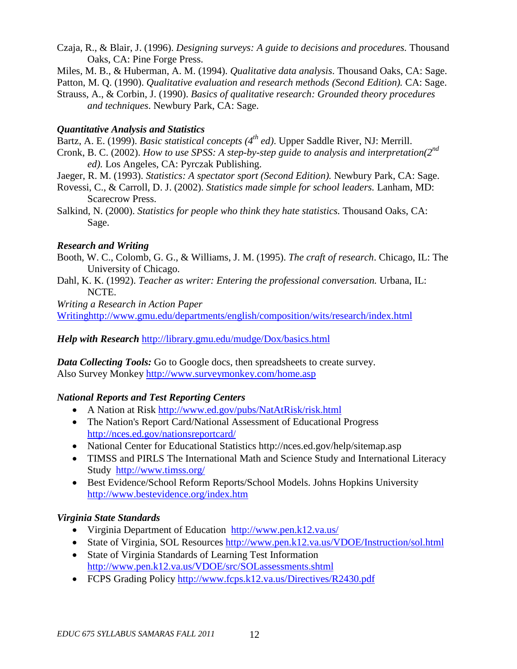- Czaja, R., & Blair, J. (1996). *Designing surveys: A guide to decisions and procedures.* Thousand Oaks, CA: Pine Forge Press.
- Miles, M. B., & Huberman, A. M. (1994). *Qualitative data analysis*. Thousand Oaks, CA: Sage.

Patton, M. Q. (1990). *Qualitative evaluation and research methods (Second Edition)*. CA: Sage.

Strauss, A., & Corbin, J. (1990). *Basics of qualitative research: Grounded theory procedures and techniques*. Newbury Park, CA: Sage.

## *Quantitative Analysis and Statistics*

- Bartz, A. E. (1999). *Basic statistical concepts (4th ed)*. Upper Saddle River, NJ: Merrill.
- Cronk, B. C. (2002). *How to use SPSS: A step-by-step guide to analysis and interpretation(2nd ed).* Los Angeles, CA: Pyrczak Publishing.
- Jaeger, R. M. (1993). *Statistics: A spectator sport (Second Edition).* Newbury Park, CA: Sage.
- Rovessi, C., & Carroll, D. J. (2002). *Statistics made simple for school leaders.* Lanham, MD: Scarecrow Press.
- Salkind, N. (2000). *Statistics for people who think they hate statistics.* Thousand Oaks, CA: Sage.

## *Research and Writing*

- Booth, W. C., Colomb, G. G., & Williams, J. M. (1995). *The craft of research*. Chicago, IL: The University of Chicago.
- Dahl, K. K. (1992). *Teacher as writer: Entering the professional conversation.* Urbana, IL: NCTE.

*Writing a Research in Action Paper* [Writinghttp://www.gmu.edu/departments/english/composition/wits/research/index.html](http://www.gmu.edu/departments/english/composition/wits/research/index.html)

## *Help with Research* <http://library.gmu.edu/mudge/Dox/basics.html>

*Data Collecting Tools:* Go to Google docs, then spreadsheets to create survey. Also Survey Monkey<http://www.surveymonkey.com/home.asp>

## *National Reports and Test Reporting Centers*

- A Nation at Risk<http://www.ed.gov/pubs/NatAtRisk/risk.html>
- [The Nation's Report Card/](http://nces.ed.gov/nationsreportcard/)National Assessment of Educational Progress <http://nces.ed.gov/nationsreportcard/>
- National Center for Educational Statistics http://nces.ed.gov/help/sitemap.asp
- TIMSS and PIRLS [The International Math and Science Study](http://www.timss.org/) and International Literacy Study <http://www.timss.org/>
- Best Evidence/School Reform Reports/School Models. Johns Hopkins University <http://www.bestevidence.org/index.htm>

## *Virginia State Standards*

- [Virginia Department of Education http://www.pen.k12.va.us/](http://www.pen.k12.va.us/)
- State of Virginia, SOL Resources<http://www.pen.k12.va.us/VDOE/Instruction/sol.html>
- State of Virginia Standards of Learning Test Information <http://www.pen.k12.va.us/VDOE/src/SOLassessments.shtml>
- FCPS Grading Policy<http://www.fcps.k12.va.us/Directives/R2430.pdf>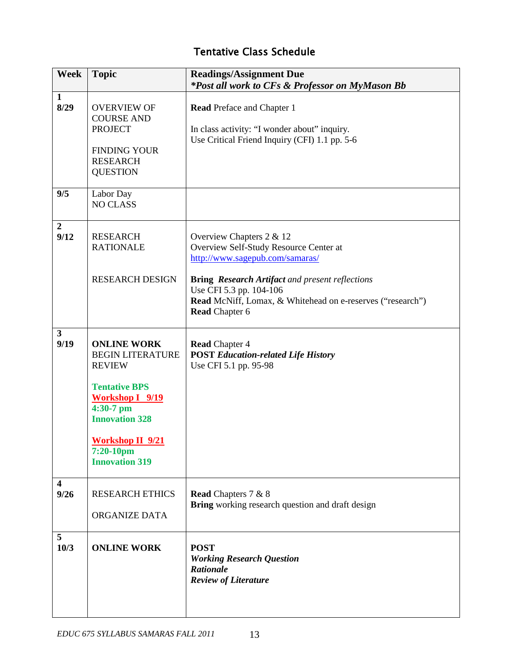# Tentative Class Schedule

| <b>Week</b>                     | <b>Topic</b>                                                                                                                                                                                                            | <b>Readings/Assignment Due</b><br>*Post all work to CFs & Professor on MyMason Bb                                                                                                                                                                                                 |
|---------------------------------|-------------------------------------------------------------------------------------------------------------------------------------------------------------------------------------------------------------------------|-----------------------------------------------------------------------------------------------------------------------------------------------------------------------------------------------------------------------------------------------------------------------------------|
| $\mathbf{1}$<br>8/29            | <b>OVERVIEW OF</b><br><b>COURSE AND</b><br><b>PROJECT</b><br><b>FINDING YOUR</b><br><b>RESEARCH</b><br><b>QUESTION</b>                                                                                                  | <b>Read Preface and Chapter 1</b><br>In class activity: "I wonder about" inquiry.<br>Use Critical Friend Inquiry (CFI) 1.1 pp. 5-6                                                                                                                                                |
| 9/5                             | Labor Day<br><b>NO CLASS</b>                                                                                                                                                                                            |                                                                                                                                                                                                                                                                                   |
| $\overline{2}$<br>9/12          | <b>RESEARCH</b><br><b>RATIONALE</b><br><b>RESEARCH DESIGN</b>                                                                                                                                                           | Overview Chapters 2 & 12<br>Overview Self-Study Resource Center at<br>http://www.sagepub.com/samaras/<br><b>Bring Research Artifact and present reflections</b><br>Use CFI 5.3 pp. 104-106<br>Read McNiff, Lomax, & Whitehead on e-reserves ("research")<br><b>Read Chapter 6</b> |
| $\overline{\mathbf{3}}$<br>9/19 | <b>ONLINE WORK</b><br><b>BEGIN LITERATURE</b><br><b>REVIEW</b><br><b>Tentative BPS</b><br><b>Workshop I</b> 9/19<br>4:30-7 pm<br><b>Innovation 328</b><br><b>Workshop II 9/21</b><br>7:20-10pm<br><b>Innovation 319</b> | <b>Read Chapter 4</b><br><b>POST Education-related Life History</b><br>Use CFI 5.1 pp. 95-98                                                                                                                                                                                      |
| $\overline{\mathbf{4}}$<br>9/26 | <b>RESEARCH ETHICS</b><br>ORGANIZE DATA                                                                                                                                                                                 | <b>Read Chapters 7 &amp; 8</b><br>Bring working research question and draft design                                                                                                                                                                                                |
| 5<br>10/3                       | <b>ONLINE WORK</b>                                                                                                                                                                                                      | <b>POST</b><br><b>Working Research Question</b><br><b>Rationale</b><br><b>Review of Literature</b>                                                                                                                                                                                |